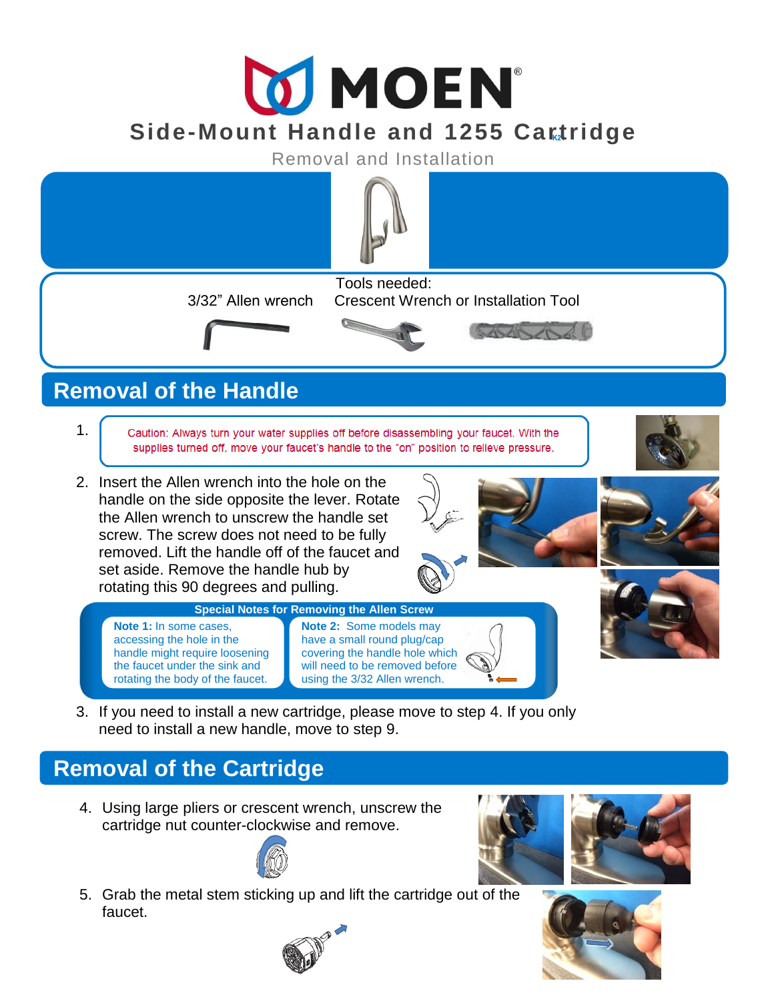# **MOEN Side-Mount Handle and 1255 Cartridge**

Removal and Installation



## **Removal of the Handle**

- 1. Caution: Always turn your water supplies off before disassembling your faucet. With the supplies turned off, move your faucet's handle to the "on" position to relieve pressure.
- 2. Insert the Allen wrench into the hole on the handle on the side opposite the lever. Rotate the Allen wrench to unscrew the handle set screw. The screw does not need to be fully removed. Lift the handle off of the faucet and set aside. Remove the handle hub by rotating this 90 degrees and pulling.







- **Special Notes for Removing the Allen Screw Note 1:** In some cases, accessing the hole in the handle might require loosening the faucet under the sink and rotating the body of the faucet.
- 3. If you need to install a new cartridge, please move to step 4. If you only need to install a new handle, move to step 9.

**Note 2:** Some models may have a small round plug/cap covering the handle hole which will need to be removed before using the 3/32 Allen wrench.

#### **Removal of the Cartridge**

4. Using large pliers or crescent wrench, unscrew the cartridge nut counter-clockwise and remove.



5. Grab the metal stem sticking up and lift the cartridge out of the faucet.